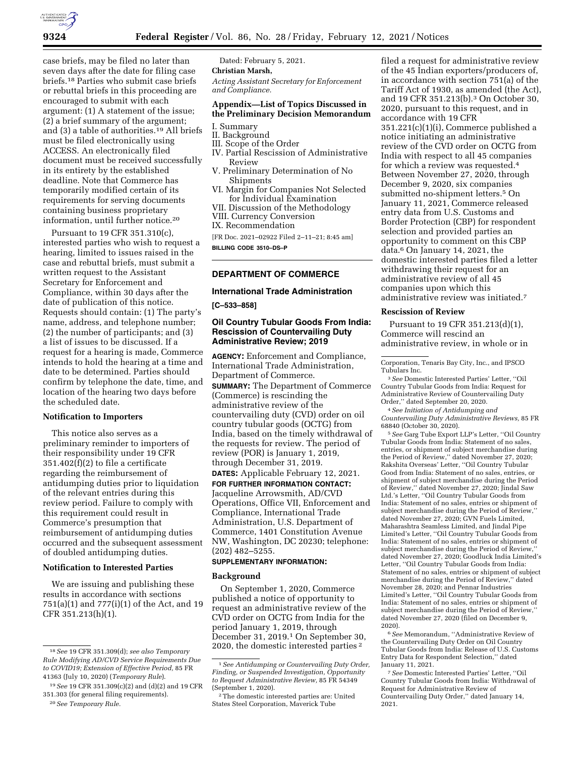

case briefs, may be filed no later than seven days after the date for filing case briefs.18 Parties who submit case briefs or rebuttal briefs in this proceeding are encouraged to submit with each argument: (1) A statement of the issue; (2) a brief summary of the argument; and (3) a table of authorities.19 All briefs must be filed electronically using ACCESS. An electronically filed document must be received successfully in its entirety by the established deadline. Note that Commerce has temporarily modified certain of its requirements for serving documents containing business proprietary information, until further notice.20

Pursuant to 19 CFR 351.310(c), interested parties who wish to request a hearing, limited to issues raised in the case and rebuttal briefs, must submit a written request to the Assistant Secretary for Enforcement and Compliance, within 30 days after the date of publication of this notice. Requests should contain: (1) The party's name, address, and telephone number; (2) the number of participants; and (3) a list of issues to be discussed. If a request for a hearing is made, Commerce intends to hold the hearing at a time and date to be determined. Parties should confirm by telephone the date, time, and location of the hearing two days before the scheduled date.

### **Notification to Importers**

This notice also serves as a preliminary reminder to importers of their responsibility under 19 CFR 351.402(f)(2) to file a certificate regarding the reimbursement of antidumping duties prior to liquidation of the relevant entries during this review period. Failure to comply with this requirement could result in Commerce's presumption that reimbursement of antidumping duties occurred and the subsequent assessment of doubled antidumping duties.

# **Notification to Interested Parties**

We are issuing and publishing these results in accordance with sections 751(a)(1) and 777(i)(1) of the Act, and 19 CFR 351.213(h)(1).

20*See Temporary Rule.* 

Dated: February 5, 2021.

# **Christian Marsh,**

*Acting Assistant Secretary for Enforcement and Compliance.* 

# **Appendix—List of Topics Discussed in the Preliminary Decision Memorandum**

- I. Summary
- II. Background
- III. Scope of the Order
- IV. Partial Rescission of Administrative Review
- V. Preliminary Determination of No Shipments
- VI. Margin for Companies Not Selected for Individual Examination
- VII. Discussion of the Methodology
- VIII. Currency Conversion

IX. Recommendation

[FR Doc. 2021–02922 Filed 2–11–21; 8:45 am] **BILLING CODE 3510–DS–P** 

#### **DEPARTMENT OF COMMERCE**

#### **International Trade Administration**

**[C–533–858]** 

# **Oil Country Tubular Goods From India: Rescission of Countervailing Duty Administrative Review; 2019**

**AGENCY:** Enforcement and Compliance, International Trade Administration, Department of Commerce.

**SUMMARY:** The Department of Commerce (Commerce) is rescinding the administrative review of the countervailing duty (CVD) order on oil country tubular goods (OCTG) from India, based on the timely withdrawal of the requests for review. The period of review (POR) is January 1, 2019, through December 31, 2019.

**DATES:** Applicable February 12, 2021. **FOR FURTHER INFORMATION CONTACT:**  Jacqueline Arrowsmith, AD/CVD Operations, Office VII, Enforcement and Compliance, International Trade Administration, U.S. Department of Commerce, 1401 Constitution Avenue NW, Washington, DC 20230; telephone: (202) 482–5255.

### **SUPPLEMENTARY INFORMATION:**

### **Background**

On September 1, 2020, Commerce published a notice of opportunity to request an administrative review of the CVD order on OCTG from India for the period January 1, 2019, through December 31, 2019.1 On September 30, 2020, the domestic interested parties 2

filed a request for administrative review of the 45 Indian exporters/producers of, in accordance with section 751(a) of the Tariff Act of 1930, as amended (the Act), and 19 CFR 351.213(b).3 On October 30, 2020, pursuant to this request, and in accordance with 19 CFR 351.221(c)(1)(i), Commerce published a notice initiating an administrative review of the CVD order on OCTG from India with respect to all 45 companies for which a review was requested.4 Between November 27, 2020, through December 9, 2020, six companies submitted no-shipment letters.5 On January 11, 2021, Commerce released entry data from U.S. Customs and Border Protection (CBP) for respondent selection and provided parties an opportunity to comment on this CBP data.6 On January 14, 2021, the domestic interested parties filed a letter withdrawing their request for an administrative review of all 45 companies upon which this administrative review was initiated.7

#### **Rescission of Review**

Pursuant to 19 CFR 351.213(d)(1), Commerce will rescind an administrative review, in whole or in

Corporation, Tenaris Bay City, Inc., and IPSCO Tubulars Inc.

3*See* Domestic Interested Parties' Letter, ''Oil Country Tubular Goods from India: Request for Administrative Review of Countervailing Duty Order,'' dated September 20, 2020.

4*See Initiation of Antidumping and Countervailing Duty Administrative Reviews,* 85 FR 68840 (October 30, 2020).

5*See* Garg Tube Export LLP's Letter, ''Oil Country Tubular Goods from India: Statement of no sales, entries, or shipment of subject merchandise during the Period of Review,'' dated November 27, 2020; Rakshita Overseas' Letter, ''Oil Country Tubular Good from India: Statement of no sales, entries, or shipment of subject merchandise during the Period of Review,'' dated November 27, 2020; Jindal Saw Ltd.'s Letter, ''Oil Country Tubular Goods from India: Statement of no sales, entries or shipment of subject merchandise during the Period of Review,'' dated November 27, 2020; GVN Fuels Limited, Maharashtra Seamless Limited, and Jindal Pipe Limited's Letter, ''Oil Country Tubular Goods from India: Statement of no sales, entries or shipment of subject merchandise during the Period of Review, dated November 27, 2020; Goodluck India Limited's Letter, ''Oil Country Tubular Goods from India: Statement of no sales, entries or shipment of subject merchandise during the Period of Review,'' dated November 28, 2020; and Pennar Industries Limited's Letter, ''Oil Country Tubular Goods from India: Statement of no sales, entries or shipment of subject merchandise during the Period of Review,'' dated November 27, 2020 (filed on December 9, 2020).

6*See* Memorandum, ''Administrative Review of the Countervailing Duty Order on Oil Country Tubular Goods from India: Release of U.S. Customs Entry Data for Respondent Selection,'' dated January 11, 2021.

7*See* Domestic Interested Parties' Letter, ''Oil Country Tubular Goods from India: Withdrawal of Request for Administrative Review of Countervailing Duty Order,'' dated January 14, 2021.

<sup>18</sup>*See* 19 CFR 351.309(d); *see also Temporary Rule Modifying AD/CVD Service Requirements Due to COVID19; Extension of Effective Period,* 85 FR 41363 (July 10, 2020) (*Temporary Rule*).

<sup>19</sup>*See* 19 CFR 351.309(c)(2) and (d)(2) and 19 CFR 351.303 (for general filing requirements).

<sup>1</sup>*See Antidumping or Countervailing Duty Order, Finding, or Suspended Investigation, Opportunity to Request Administrative Review,* 85 FR 54349 (September 1, 2020).

<sup>2</sup>The domestic interested parties are: United States Steel Corporation, Maverick Tube